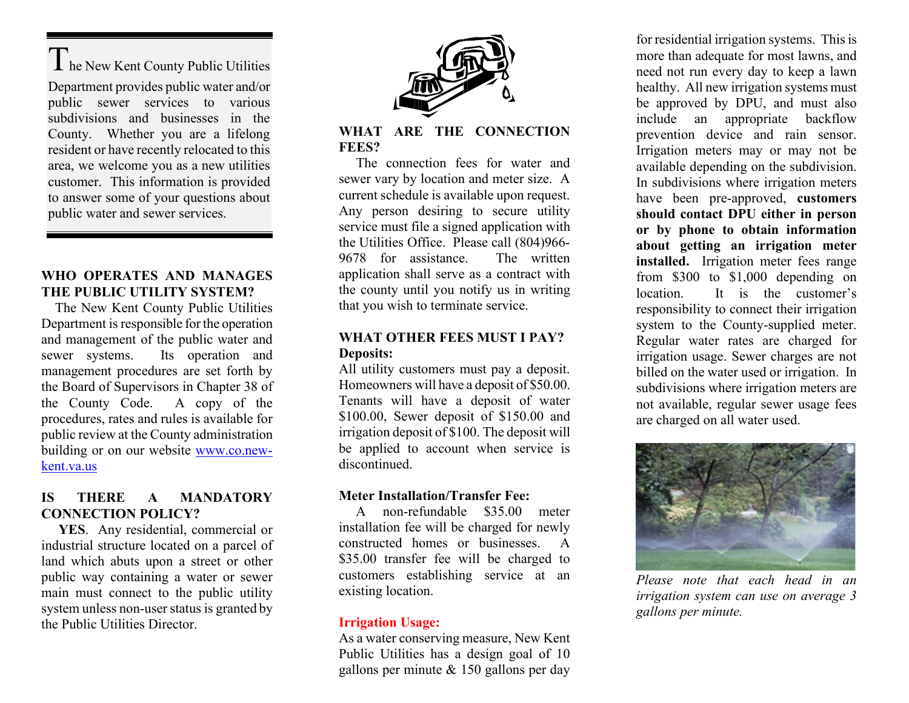I he New Kent County Public Utilities Department provides public water and/or public sewer services to various subdivisions and businesses in the County. Whether you are a lifelong resident or have recently relocated to this area, we welcome you as a new utilities customer. This information is provided to answer some of your questions about public water and sewer services.

#### **WHO OPERATES AND MANAGES THE PUBLIC UTILITY SYSTEM?**

 The New Kent County Public Utilities Department is responsible for the operation and management of the public water and sewer systems. Its operation and management procedures are set forth by the Board of Supervisors in Chapter 38 of the County Code. A copy of the procedures, rates and rules is available for public review at the County administration building or on our website [www.co.new](http://www.co.new-kent.va.us/)[kent.va.us](http://www.co.new-kent.va.us/)

#### **IS THERE A MANDATORY CONNECTION POLICY?**

 **YES**. Any residential, commercial or industrial structure located on a parcel of land which abuts upon a street or other public way containing a water or sewer main must connect to the public utility system unless non-user status is granted by the Public Utilities Director.



#### **WHAT ARE THE CONNECTION FEES?**

 The connection fees for water and sewer vary by location and meter size. A current schedule is available upon request. Any person desiring to secure utility service must file a signed application with the Utilities Office. Please call (804)966- 9678 for assistance. The written application shall serve as a contract with the county until you notify us in writing that you wish to terminate service.

#### **WHAT OTHER FEES MUST I PAY? Deposits:**

All utility customers must pay a deposit. Homeowners will have a deposit of \$50.00. Tenants will have a deposit of water \$100.00, Sewer deposit of \$150.00 and irrigation deposit of \$100. The deposit will be applied to account when service is discontinued.

#### **Meter Installation/Transfer Fee:**

 A non-refundable \$35.00 meter installation fee will be charged for newly constructed homes or businesses. A \$35.00 transfer fee will be charged to customers establishing service at an existing location.

#### **Irrigation Usage:**

As a water conserving measure, New Kent Public Utilities has a design goal of 10 gallons per minute & 150 gallons per day

for residential irrigation systems. This is more than adequate for most lawns, and need not run every day to keep a lawn healthy. All new irrigation systems must be approved by DPU, and must also include an appropriate backflow prevention device and rain sensor. Irrigation meters may or may not be available depending on the subdivision. In subdivisions where irrigation meters have been pre-approved, **customers should contact DPU either in person or by phone to obtain information about getting an irrigation meter installed.** Irrigation meter fees range from \$300 to \$1,000 depending on location. It is the customer's responsibility to connect their irrigation system to the County-supplied meter. Regular water rates are charged for irrigation usage. Sewer charges are not billed on the water used or irrigation. In subdivisions where irrigation meters are not available, regular sewer usage fees are charged on all water used.



*Please note that each head in an irrigation system can use on average 3 gallons per minute.*